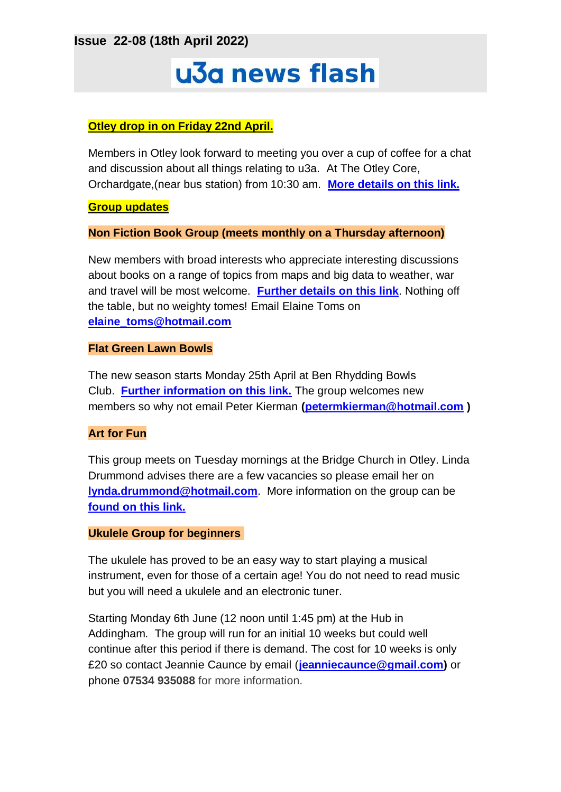**Issue 22-08 (18th April 2022)**

# u3a news flash

## **Otley drop in on Friday 22nd April.**

Members in Otley look forward to meeting you over a cup of coffee for a chat and discussion about all things relating to u3a. At The Otley Core, Orchardgate,(near bus station) from 10:30 am. **[More details on this link.](https://ilkleyu3a.org/event-4774187)**

**Group updates**

**Non Fiction Book Group (meets monthly on a Thursday afternoon)**

New members with broad interests who appreciate interesting discussions about books on a range of topics from maps and big data to weather, war and travel will be most welcome. **[Further details on this link](https://ilkleyu3a.org/Non-Fiction-Book-Group)**. Nothing off the table, but no weighty tomes! Email Elaine Toms on **[elaine\\_toms@hotmail.com](mailto:elaine_toms@hotmail.com)**

### **Flat Green Lawn Bowls**

The new season starts Monday 25th April at Ben Rhydding Bowls Club. **[Further information on this link.](https://ilkleyu3a.org/Bowls-group)** The group welcomes new members so why not email Peter Kierman **[\(petermkierman@hotmail.com](mailto:petermkierman@hotmail.com) )**

## **Art for Fun**

This group meets on Tuesday mornings at the Bridge Church in Otley. Linda Drummond advises there are a few vacancies so please email her on **[lynda.drummond@hotmail.com](mailto:lynda.drummond@hotmail.com)**. More information on the group can be **[found on this link.](https://ilkleyu3a.org/Art-for-Fun-Tuesday-meeting-in-Otley)**

#### **Ukulele Group for beginners**

The ukulele has proved to be an easy way to start playing a musical instrument, even for those of a certain age! You do not need to read music but you will need a ukulele and an electronic tuner.

Starting Monday 6th June (12 noon until 1:45 pm) at the Hub in Addingham. The group will run for an initial 10 weeks but could well continue after this period if there is demand. The cost for 10 weeks is only £20 so contact Jeannie Caunce by email (**[jeanniecaunce@gmail.com\)](mailto:jeanniecaunce@gmail.com)** or phone **07534 935088** for more information.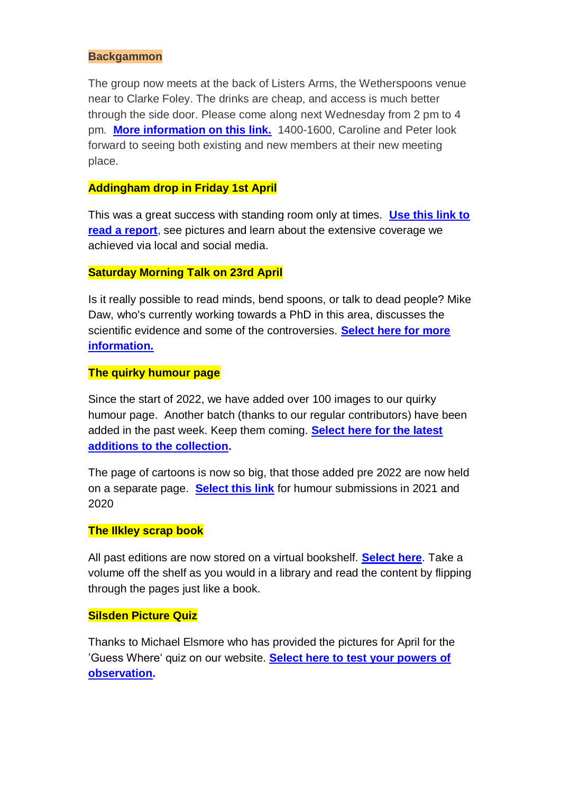#### **Backgammon**

The group now meets at the back of Listers Arms, the Wetherspoons venue near to Clarke Foley. The drinks are cheap, and access is much better through the side door. Please come along next Wednesday from 2 pm to 4 pm. **[More information on this link.](https://ilkleyu3a.org/Backgammon)** 1400-1600, Caroline and Peter look forward to seeing both existing and new members at their new meeting place.

#### **Addingham drop in Friday 1st April**

This was a great success with standing room only at times. **[Use this link to](https://ilkleyu3a.org/Addingham) [read a report](https://ilkleyu3a.org/Addingham)**, see pictures and learn about the extensive coverage we achieved via local and social media.

#### **Saturday Morning Talk on 23rd April**

Is it really possible to read minds, bend spoons, or talk to dead people? Mike Daw, who's currently working towards a PhD in this area, discusses the scientific evidence and some of the controversies. **[Select here for more](https://ilkleyu3a.org/event-4756649) [information.](https://ilkleyu3a.org/event-4756649)**

#### **The quirky humour page**

Since the start of 2022, we have added over 100 images to our quirky humour page. Another batch (thanks to our regular contributors) have been added in the past week. Keep them coming. **[Select here for the latest](https://ilkleyu3a.org/Lockdown-Support-Quirky-Humour) [additions to the collection.](https://ilkleyu3a.org/Lockdown-Support-Quirky-Humour)**

The page of cartoons is now so big, that those added pre 2022 are now held on a separate page. **[Select this link](https://ilkleyu3a.org/Lockdown-Support-Quirky-Humour-2)** for humour submissions in 2021 and 2020

#### **The Ilkley scrap book**

All past editions are now stored on a virtual bookshelf. **[Select here](https://ilkleyu3a.org/resources/Documents/PDF-Flip/bookshelf-Scrapbooks.html)**. Take a volume off the shelf as you would in a library and read the content by flipping through the pages just like a book.

#### **Silsden Picture Quiz**

Thanks to Michael Elsmore who has provided the pictures for April for the 'Guess Where' quiz on our website. **[Select here to test your powers of](http://ilkleyu3a.org/#HQUIZ) [observation.](http://ilkleyu3a.org/#HQUIZ)**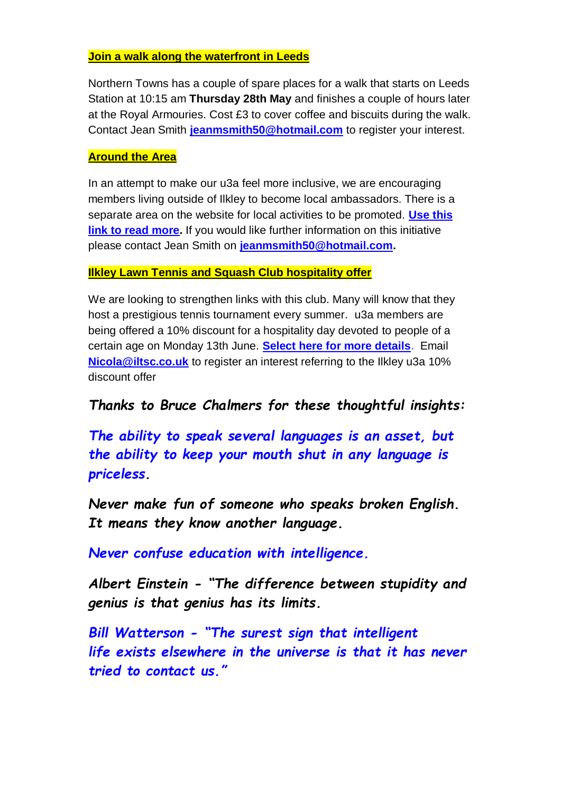## **Join a walk along the waterfront in Leeds**

Northern Towns has a couple of spare places for a walk that starts on Leeds Station at 10:15 am **Thursday 28th May** and finishes a couple of hours later at the Royal Armouries. Cost £3 to cover coffee and biscuits during the walk. Contact Jean Smith **[jeanmsmith50@hotmail.com](mailto:jeanmsmith50@hotmail.com)** to register your interest.

### **Around the Area**

In an attempt to make our u3a feel more inclusive, we are encouraging members living outside of Ilkley to become local ambassadors. There is a separate area on the website for local activities to be promoted. **[Use this](https://ilkleyu3a.org/Around-The-Area)  [link to read more.](https://ilkleyu3a.org/Around-The-Area)** If you would like further information on this initiative please contact Jean Smith on **[jeanmsmith50@hotmail.com.](mailto:jeanmsmith50@hotmail.com)**

### **Ilkley Lawn Tennis and Squash Club hospitality offer**

We are looking to strengthen links with this club. Many will know that they host a prestigious tennis tournament every summer. u3a members are being offered a 10% discount for a hospitality day devoted to people of a certain age on Monday 13th June. **[Select here for more details.](https://ilkleyu3a.org/resources/SILVER%20DAY%20Promo%20PDF%20(Flyer)%20(1).pdf)** Email **[Nicola@iltsc.co.uk](mailto:Nicola@iltsc.co.uk)** to register an interest referring to the Ilkley u3a 10% discount offer

## *Thanks to Bruce Chalmers for these thoughtful insights:*

*The ability to speak several languages is an asset, but the ability to keep your mouth shut in any language is priceless.*

*Never make fun of someone who speaks broken English. It means they know another language.*

*Never confuse education with intelligence.*

*Albert Einstein - "The difference between stupidity and genius is that genius has its limits.*

*Bill Watterson - "The surest sign that intelligent life exists elsewhere in the universe is that it has never tried to contact us."*